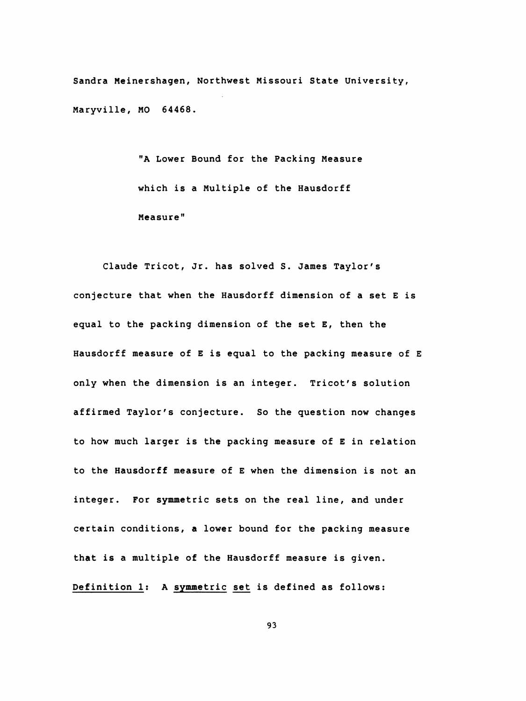Sandra Meinershagen, Northwest Missouri State University, Maryville, MO 64468.

> "A Lower Bound for the Packing Measure which is a Multiple of the Hausdorff Measure"

 Claude Tricot, Jr. has solved S. James Taylor's conjecture that when the Hausdorff dimension of a set E is equal to the packing dimension of the set E, then the Hausdorff measure of E is equal to the packing measure of E only when the dimension is an integer. Tricot's solution affirmed Taylor's conjecture. So the question now changes to how much larger is the packing measure of E in relation to the Hausdorff measure of E when the dimension is not an integer. For symmetric sets on the real line, and under certain conditions, a lower bound for the packing measure that is a multiple of the Hausdorff measure is given. Definition 1: A symmetric set is defined as follows:

93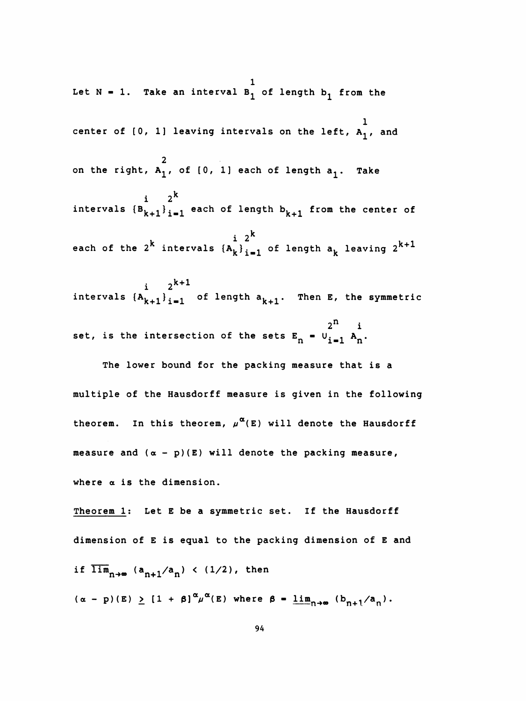Let  $N = 1$ . Take an interval  $B_1^{\dagger}$  of length  $b_1^{\dagger}$  from the 1 center of  $(v, 1)$  leaving intervals on 2 on the right,  $M_1$ , or  $(0, 1)$  each or i  $2^k$ intervals  $\{{\tt B}_{k+1}\}_{i \, {\tt =1\,}}$  each of length  ${\tt b}_{k+1}$  from the center of each of the  $2^k$  intervals  $\{A_k^i\}_{i=1}^2$  of length  $a_k^i$  leaving  $2^{k+1}$ i  $2^{k+1}$ intervals  $\{{\bf A_{k+1}}\}_{i \,=\, 1}$  of length  ${\bf a_{k+1}}$ . Then E, the symmetric  $2^n$  i

set, is the intersection of the sets  $E_n = U_{i=1} A_n$ .

The lower bound for the packing measure that is a multiple of the Hausdorff measure is given in the following theorem. In this theorem,  $\mu^{\alpha}(E)$  will denote the Hausdorff measure and  $(\alpha - p)(E)$  will denote the packing measure, where  $\alpha$  is the dimension.

 Theorem 1: Let E be a symmetric set. If the Hausdorff dimension of E is equal to the packing dimension of E and if  $\overline{\lim}_{n\to\infty}$   $(a_{n+1}/a_n)$  <  $(1/2)$ , then  $(\alpha - p)(E) \geq [1 + \beta]^{\alpha} \mu^{\alpha}(E)$  where  $\beta = \lim_{n \to \infty} (b_{n+1}/a_n)$ .